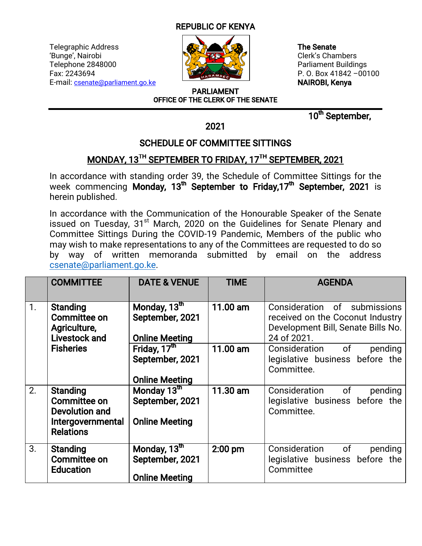## **REPUBLIC OF KENYA**

Telegraphic Address **The Senate** The Senate The Senate 'Bunge', Nairobi **Clerk's Chambers** Telephone 2848000 **Parliament Buildings** Fax:2243694 P.O.Box41842–00100 E-mail: csenate@parliament.go.ke **NAIROBI, Kenya** 



PARLIAMENT OFFICE OF THE CLERK OF THE SENATE

10<sup>th</sup> September,

2021

## SCHEDULE OF COMMITTEE SITTINGS

## MONDAY, 13<sup>TH</sup> SEPTEMBER TO FRIDAY, 17<sup>TH</sup> SEPTEMBER, 2021

In accordance with standing order 39, the Schedule of Committee Sittings for the week commencing Monday, 13<sup>th</sup> September to Friday,17<sup>th</sup> September, 2021 is herein published.

In accordance with the Communication of the Honourable Speaker of the Senate issued on Tuesday, 31<sup>st</sup> March, 2020 on the Guidelines for Senate Plenary and Committee Sittings During the COVID-19 Pandemic, Members of the public who may wish to make representations to any of the Committees are requested to do so by way of written memoranda submitted by email on the address csenate@parliament.go.ke.

|    | <b>COMMITTEE</b>                                                                           | <b>DATE &amp; VENUE</b>                                              | <b>TIME</b> | <b>AGENDA</b>                                                                                                         |
|----|--------------------------------------------------------------------------------------------|----------------------------------------------------------------------|-------------|-----------------------------------------------------------------------------------------------------------------------|
| 1. | <b>Standing</b><br>Committee on<br>Agriculture,<br><b>Livestock and</b>                    | Monday, 13 <sup>th</sup><br>September, 2021<br><b>Online Meeting</b> | 11.00 am    | Consideration of submissions<br>received on the Coconut Industry<br>Development Bill, Senate Bills No.<br>24 of 2021. |
|    | <b>Fisheries</b>                                                                           | Friday, 17th<br>September, 2021<br><b>Online Meeting</b>             | 11.00 am    | Consideration of<br>pending<br>legislative business before the<br>Committee.                                          |
| 2. | <b>Standing</b><br>Committee on<br>Devolution and<br>Intergovernmental<br><b>Relations</b> | Monday 13th<br>September, 2021<br><b>Online Meeting</b>              | 11.30 am    | Consideration of<br>pending<br>legislative business before the<br>Committee.                                          |
| 3. | <b>Standing</b><br><b>Committee on</b><br><b>Education</b>                                 | Monday, 13 <sup>th</sup><br>September, 2021<br><b>Online Meeting</b> | $2:00$ pm   | Consideration of<br>pending<br>legislative business before the<br>Committee                                           |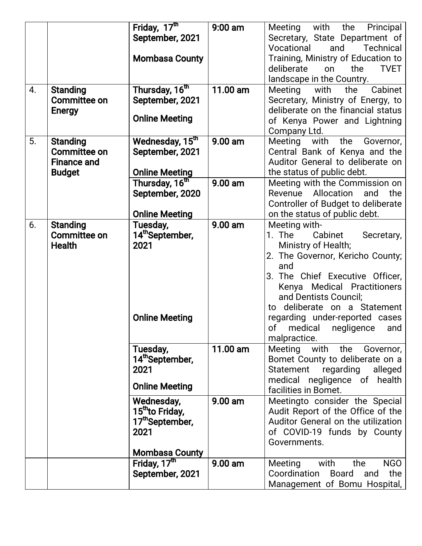|                  |                     | Friday, 17th                | $9:00$ am | the<br>Meeting with<br>Principal       |
|------------------|---------------------|-----------------------------|-----------|----------------------------------------|
|                  |                     | September, 2021             |           | Secretary, State Department of         |
|                  |                     |                             |           | Vocational<br>and<br>Technical         |
|                  |                     | <b>Mombasa County</b>       |           | Training, Ministry of Education to     |
|                  |                     |                             |           | deliberate<br>on<br>the<br><b>TVET</b> |
|                  |                     |                             |           | landscape in the Country.              |
| $\overline{4}$ . | <b>Standing</b>     | Thursday, 16 <sup>th</sup>  | 11.00 am  | Cabinet<br>Meeting with<br>the         |
|                  | <b>Committee on</b> | September, 2021             |           | Secretary, Ministry of Energy, to      |
|                  | <b>Energy</b>       |                             |           | deliberate on the financial status     |
|                  |                     | <b>Online Meeting</b>       |           | of Kenya Power and Lightning           |
|                  |                     |                             |           | Company Ltd.                           |
| 5.               | <b>Standing</b>     | Wednesday, 15 <sup>th</sup> | $9.00$ am | the<br>Governor,<br>Meeting<br>with    |
|                  | <b>Committee on</b> | September, 2021             |           | Central Bank of Kenya and the          |
|                  | <b>Finance and</b>  |                             |           | Auditor General to deliberate on       |
|                  | <b>Budget</b>       | <b>Online Meeting</b>       |           | the status of public debt.             |
|                  |                     | Thursday, 16 <sup>th</sup>  | $9.00$ am | Meeting with the Commission on         |
|                  |                     | September, 2020             |           | Revenue Allocation<br>and<br>the       |
|                  |                     |                             |           | Controller of Budget to deliberate     |
|                  |                     | <b>Online Meeting</b>       |           | on the status of public debt.          |
| 6.               | <b>Standing</b>     | Tuesday,                    | 9.00 am   | Meeting with-                          |
|                  | <b>Committee on</b> | 14th September,             |           | 1. The<br>Cabinet<br>Secretary,        |
|                  | <b>Health</b>       | 2021                        |           | Ministry of Health;                    |
|                  |                     |                             |           | 2. The Governor, Kericho County;       |
|                  |                     |                             |           | and                                    |
|                  |                     |                             |           | 3. The Chief Executive Officer,        |
|                  |                     |                             |           | Kenya Medical Practitioners            |
|                  |                     |                             |           | and Dentists Council;                  |
|                  |                     |                             |           | to deliberate on a Statement           |
|                  |                     | <b>Online Meeting</b>       |           | regarding under-reported cases         |
|                  |                     |                             |           | of medical negligence<br>and           |
|                  |                     |                             |           | malpractice.                           |
|                  |                     | Tuesday,                    | 11.00 am  | Meeting with the<br>Governor,          |
|                  |                     | 14th September,             |           | Bomet County to deliberate on a        |
|                  |                     | 2021                        |           | Statement<br>regarding<br>alleged      |
|                  |                     |                             |           | medical negligence of health           |
|                  |                     | <b>Online Meeting</b>       |           | facilities in Bomet.                   |
|                  |                     | Wednesday,                  | 9.00 am   | Meetingto consider the Special         |
|                  |                     | 15 <sup>th</sup> to Friday, |           | Audit Report of the Office of the      |
|                  |                     | 17 <sup>th</sup> September, |           | Auditor General on the utilization     |
|                  |                     | 2021                        |           | of COVID-19 funds by County            |
|                  |                     |                             |           | Governments.                           |
|                  |                     | <b>Mombasa County</b>       |           |                                        |
|                  |                     | Friday, 17 <sup>th</sup>    | 9.00 am   | <b>NGO</b><br>with<br>Meeting<br>the   |
|                  |                     | September, 2021             |           | Coordination Board<br>the<br>and       |
|                  |                     |                             |           | Management of Bomu Hospital,           |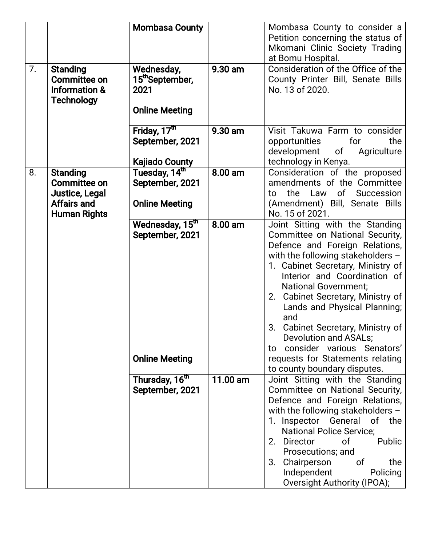| 7. | <b>Standing</b>                                                      | <b>Mombasa County</b><br>Wednesday,                                     | 9.30 am   | Mombasa County to consider a<br>Petition concerning the status of<br>Mkomani Clinic Society Trading<br>at Bomu Hospital.<br>Consideration of the Office of the                                                                                                                                                                                                                                                                                                                                       |
|----|----------------------------------------------------------------------|-------------------------------------------------------------------------|-----------|------------------------------------------------------------------------------------------------------------------------------------------------------------------------------------------------------------------------------------------------------------------------------------------------------------------------------------------------------------------------------------------------------------------------------------------------------------------------------------------------------|
|    | <b>Committee on</b><br><b>Information &amp;</b><br><b>Technology</b> | 15 <sup>th</sup> September,<br>2021<br><b>Online Meeting</b>            |           | County Printer Bill, Senate Bills<br>No. 13 of 2020.                                                                                                                                                                                                                                                                                                                                                                                                                                                 |
|    |                                                                      | Friday, 17 <sup>th</sup><br>September, 2021                             | $9.30$ am | Visit Takuwa Farm to consider<br>for<br>the<br>opportunities<br>development of<br>Agriculture                                                                                                                                                                                                                                                                                                                                                                                                        |
|    |                                                                      | <b>Kajiado County</b>                                                   |           | technology in Kenya.                                                                                                                                                                                                                                                                                                                                                                                                                                                                                 |
| 8. | <b>Standing</b><br>Committee on<br>Justice, Legal                    | Tuesday, 14th<br>September, 2021                                        | 8.00 am   | Consideration of the proposed<br>amendments of the Committee<br>the Law of<br>Succession<br>to                                                                                                                                                                                                                                                                                                                                                                                                       |
|    | Affairs and                                                          | <b>Online Meeting</b>                                                   |           | (Amendment) Bill, Senate Bills<br>No. 15 of 2021.                                                                                                                                                                                                                                                                                                                                                                                                                                                    |
|    | <b>Human Rights</b>                                                  | Wednesday, 15 <sup>th</sup><br>September, 2021<br><b>Online Meeting</b> | 8.00 am   | Joint Sitting with the Standing<br>Committee on National Security,<br>Defence and Foreign Relations,<br>with the following stakeholders $-$<br>1. Cabinet Secretary, Ministry of<br>Interior and Coordination of<br><b>National Government;</b><br>2. Cabinet Secretary, Ministry of<br>Lands and Physical Planning;<br>and<br>Cabinet Secretary, Ministry of<br>3.<br>Devolution and ASALs;<br>consider various Senators'<br>to<br>requests for Statements relating<br>to county boundary disputes. |
|    |                                                                      | Thursday, 16 <sup>th</sup><br>September, 2021                           | 11.00 am  | Joint Sitting with the Standing<br>Committee on National Security,<br>Defence and Foreign Relations,<br>with the following stakeholders $-$<br>1. Inspector General of<br>the<br><b>National Police Service;</b><br>Public<br>2. Director<br>of __<br>Prosecutions; and<br>Chairperson<br>the<br>3.<br>0f<br>Independent<br>Policing<br>Oversight Authority (IPOA);                                                                                                                                  |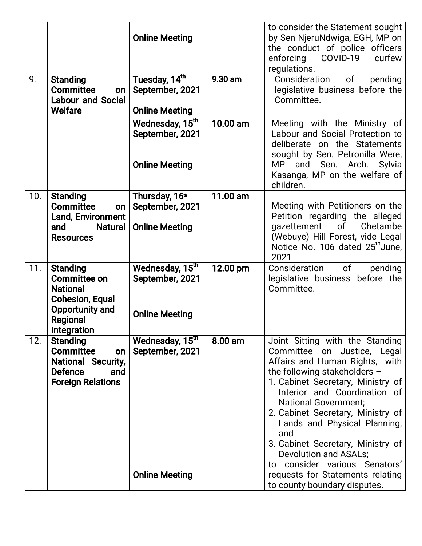| 9.  | <b>Standing</b><br>Committee<br>on<br><b>Labour and Social</b><br>Welfare                                                         | <b>Online Meeting</b><br>Tuesday, 14th<br>September, 2021<br><b>Online Meeting</b> | 9.30 am  | to consider the Statement sought<br>by Sen NjeruNdwiga, EGH, MP on<br>the conduct of police officers<br>COVID-19 curfew<br>enforcing<br>regulations.<br>Consideration<br>of<br>pending<br>legislative business before the<br>Committee.                                                                                                                                                                                                             |
|-----|-----------------------------------------------------------------------------------------------------------------------------------|------------------------------------------------------------------------------------|----------|-----------------------------------------------------------------------------------------------------------------------------------------------------------------------------------------------------------------------------------------------------------------------------------------------------------------------------------------------------------------------------------------------------------------------------------------------------|
|     |                                                                                                                                   | Wednesday, 15 <sup>th</sup><br>September, 2021<br><b>Online Meeting</b>            | 10.00 am | Meeting with the Ministry of<br>Labour and Social Protection to<br>deliberate on the Statements<br>sought by Sen. Petronilla Were,<br>and Sen. Arch.<br>MP .<br>Sylvia<br>Kasanga, MP on the welfare of<br>children.                                                                                                                                                                                                                                |
| 10. | <b>Standing</b><br><b>Committee</b><br>on<br><b>Land, Environment</b><br><b>Natural</b><br>and<br><b>Resources</b>                | Thursday, 16 <sup>th</sup><br>September, 2021<br><b>Online Meeting</b>             | 11.00 am | Meeting with Petitioners on the<br>Petition regarding the alleged<br>gazettement<br>Chetambe<br>0f<br>(Webuye) Hill Forest, vide Legal<br>Notice No. 106 dated 25 <sup>th</sup> June,<br>2021                                                                                                                                                                                                                                                       |
| 11. | <b>Standing</b><br><b>Committee on</b><br><b>National</b><br><b>Cohesion, Equal</b><br>Opportunity and<br>Regional<br>Integration | Wednesday, 15 <sup>th</sup><br>September, 2021<br><b>Online Meeting</b>            | 12.00 pm | Consideration<br>of<br>pending<br>legislative business before the<br>Committee.                                                                                                                                                                                                                                                                                                                                                                     |
| 12. | <b>Standing</b><br><b>Committee</b><br>on<br><b>National Security,</b><br><b>Defence</b><br>and<br><b>Foreign Relations</b>       | Wednesday, 15 <sup>th</sup><br>September, 2021<br><b>Online Meeting</b>            | 8.00 am  | Joint Sitting with the Standing<br>Committee on Justice, Legal<br>Affairs and Human Rights, with<br>the following stakeholders -<br>1. Cabinet Secretary, Ministry of<br>Interior and Coordination of<br><b>National Government:</b><br>2. Cabinet Secretary, Ministry of<br>Lands and Physical Planning;<br>and<br>3. Cabinet Secretary, Ministry of<br>Devolution and ASALs;<br>to consider various Senators'<br>requests for Statements relating |
|     |                                                                                                                                   |                                                                                    |          | to county boundary disputes.                                                                                                                                                                                                                                                                                                                                                                                                                        |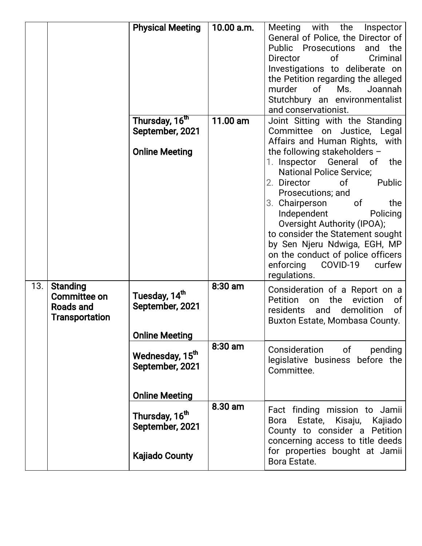|     |                                                                       | <b>Physical Meeting</b>                                                                          | 10.00 a.m. | Meeting with the Inspector<br>General of Police, the Director of<br>Public Prosecutions<br>and the<br>of<br>Criminal<br><b>Director</b><br>Investigations to deliberate on<br>the Petition regarding the alleged<br>murder<br>of<br>Ms.<br>Joannah<br>Stutchbury an environmentalist<br>and conservationist.                                                                                               |
|-----|-----------------------------------------------------------------------|--------------------------------------------------------------------------------------------------|------------|------------------------------------------------------------------------------------------------------------------------------------------------------------------------------------------------------------------------------------------------------------------------------------------------------------------------------------------------------------------------------------------------------------|
|     |                                                                       | Thursday, 16 <sup>th</sup><br>September, 2021                                                    | 11.00 am   | Joint Sitting with the Standing<br>Committee on Justice, Legal<br>Affairs and Human Rights, with                                                                                                                                                                                                                                                                                                           |
|     |                                                                       | <b>Online Meeting</b>                                                                            |            | the following stakeholders -<br>1. Inspector General of<br>the<br><b>National Police Service;</b><br>Public<br>2. Director<br>0f<br>Prosecutions; and<br>3. Chairperson<br>0f<br>the<br>Independent<br>Policing<br>Oversight Authority (IPOA);<br>to consider the Statement sought<br>by Sen Njeru Ndwiga, EGH, MP<br>on the conduct of police officers<br>COVID-19<br>enforcing<br>curfew<br>regulations. |
| 13. | <b>Standing</b><br>Committee on<br>Roads and<br><b>Transportation</b> | Tuesday, 14 <sup>th</sup><br>September, 2021                                                     | $8:30$ am  | Consideration of a Report on a<br>the<br>Petition<br>eviction<br>0f<br>on<br>and<br>demolition<br>of<br>residents<br>Buxton Estate, Mombasa County.                                                                                                                                                                                                                                                        |
|     |                                                                       | <b>Online Meeting</b><br>Wednesday, 15 <sup>th</sup><br>September, 2021<br><b>Online Meeting</b> | 8:30 am    | Consideration of<br>pending<br>legislative business before the<br>Committee.                                                                                                                                                                                                                                                                                                                               |
|     |                                                                       | Thursday, 16 <sup>th</sup><br>September, 2021<br><b>Kajiado County</b>                           | 8.30 am    | Fact finding mission to Jamii<br>Bora Estate, Kisaju, Kajiado<br>County to consider a Petition<br>concerning access to title deeds<br>for properties bought at Jamii<br>Bora Estate.                                                                                                                                                                                                                       |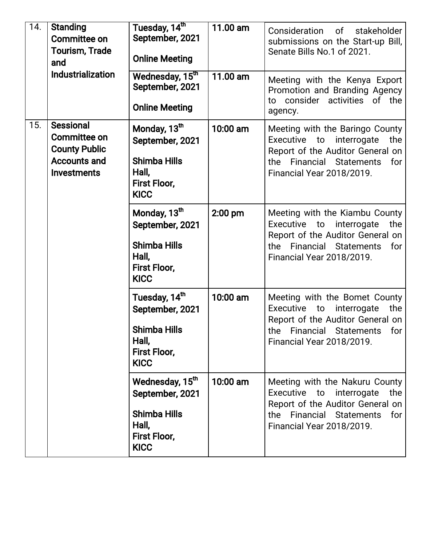| 14. | <b>Standing</b><br><b>Committee on</b><br><b>Tourism, Trade</b><br>and<br>Industrialization           | Tuesday, 14 <sup>th</sup><br>September, 2021<br><b>Online Meeting</b>                                                | 11.00 am | Consideration<br>of stakeholder<br>submissions on the Start-up Bill,<br>Senate Bills No.1 of 2021.                                                                                  |
|-----|-------------------------------------------------------------------------------------------------------|----------------------------------------------------------------------------------------------------------------------|----------|-------------------------------------------------------------------------------------------------------------------------------------------------------------------------------------|
|     |                                                                                                       | Wednesday, 15 <sup>th</sup><br>September, 2021<br><b>Online Meeting</b>                                              | 11.00 am | Meeting with the Kenya Export<br>Promotion and Branding Agency<br>to consider activities of the<br>agency.                                                                          |
| 15. | <b>Sessional</b><br>Committee on<br><b>County Public</b><br><b>Accounts and</b><br><b>Investments</b> | Monday, 13 <sup>th</sup><br>September, 2021<br><b>Shimba Hills</b><br>Hall,<br>First Floor,<br><b>KICC</b>           | 10:00 am | Meeting with the Baringo County<br>Executive to interrogate<br>the<br>Report of the Auditor General on<br>Financial<br>the<br><b>Statements</b><br>for<br>Financial Year 2018/2019. |
|     |                                                                                                       | Monday, 13 <sup>th</sup><br>September, 2021<br><b>Shimba Hills</b><br>Hall,<br><b>First Floor,</b><br><b>KICC</b>    | 2:00 pm  | Meeting with the Kiambu County<br>Executive to interrogate<br>the<br>Report of the Auditor General on<br>the Financial Statements<br>for<br>Financial Year 2018/2019.               |
|     |                                                                                                       | Tuesday, 14 <sup>th</sup><br>September, 2021<br><b>Shimba Hills</b><br>Hall,<br>First Floor,<br><b>KICC</b>          | 10:00 am | Meeting with the Bomet County<br>Executive to interrogate<br>the<br>Report of the Auditor General on<br>the Financial Statements<br>for<br><b>Financial Year 2018/2019.</b>         |
|     |                                                                                                       | Wednesday, 15 <sup>th</sup><br>September, 2021<br><b>Shimba Hills</b><br>Hall,<br><b>First Floor,</b><br><b>KICC</b> | 10:00 am | Meeting with the Nakuru County<br>Executive<br>the<br>to interrogate<br>Report of the Auditor General on<br>Financial Statements<br>the<br>for<br>Financial Year 2018/2019.         |